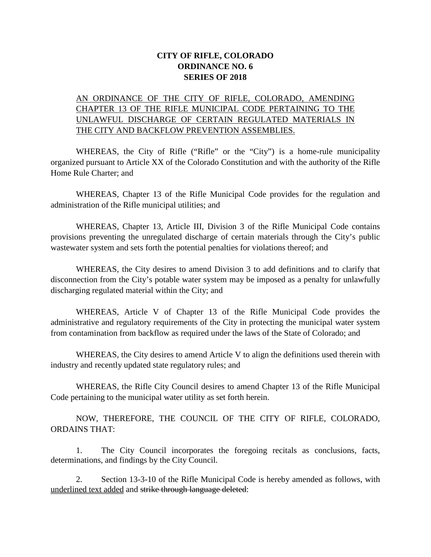# **CITY OF RIFLE, COLORADO ORDINANCE NO. 6 SERIES OF 2018**

# AN ORDINANCE OF THE CITY OF RIFLE, COLORADO, AMENDING CHAPTER 13 OF THE RIFLE MUNICIPAL CODE PERTAINING TO THE UNLAWFUL DISCHARGE OF CERTAIN REGULATED MATERIALS IN THE CITY AND BACKFLOW PREVENTION ASSEMBLIES.

WHEREAS, the City of Rifle ("Rifle" or the "City") is a home-rule municipality organized pursuant to Article XX of the Colorado Constitution and with the authority of the Rifle Home Rule Charter; and

WHEREAS, Chapter 13 of the Rifle Municipal Code provides for the regulation and administration of the Rifle municipal utilities; and

WHEREAS, Chapter 13, Article III, Division 3 of the Rifle Municipal Code contains provisions preventing the unregulated discharge of certain materials through the City's public wastewater system and sets forth the potential penalties for violations thereof; and

WHEREAS, the City desires to amend Division 3 to add definitions and to clarify that disconnection from the City's potable water system may be imposed as a penalty for unlawfully discharging regulated material within the City; and

WHEREAS, Article V of Chapter 13 of the Rifle Municipal Code provides the administrative and regulatory requirements of the City in protecting the municipal water system from contamination from backflow as required under the laws of the State of Colorado; and

WHEREAS, the City desires to amend Article V to align the definitions used therein with industry and recently updated state regulatory rules; and

WHEREAS, the Rifle City Council desires to amend Chapter 13 of the Rifle Municipal Code pertaining to the municipal water utility as set forth herein.

NOW, THEREFORE, THE COUNCIL OF THE CITY OF RIFLE, COLORADO, ORDAINS THAT:

1. The City Council incorporates the foregoing recitals as conclusions, facts, determinations, and findings by the City Council.

2. Section 13-3-10 of the Rifle Municipal Code is hereby amended as follows, with underlined text added and strike through language deleted: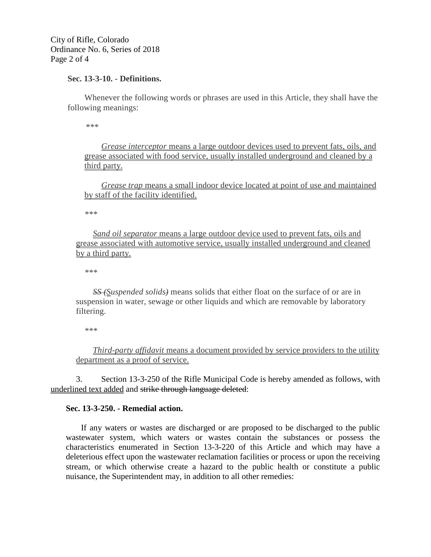City of Rifle, Colorado Ordinance No. 6, Series of 2018 Page 2 of 4

### **Sec. 13-3-10. - Definitions.**

Whenever the following words or phrases are used in this Article, they shall have the following meanings:

*\*\*\**

*Grease interceptor* means a large outdoor devices used to prevent fats, oils, and grease associated with food service, usually installed underground and cleaned by a third party.

*Grease trap* means a small indoor device located at point of use and maintained by staff of the facility identified.

*\*\*\**

*Sand oil separator* means a large outdoor device used to prevent fats, oils and grease associated with automotive service, usually installed underground and cleaned by a third party.

*\*\*\**

*SS (Suspended solids)* means solids that either float on the surface of or are in suspension in water, sewage or other liquids and which are removable by laboratory filtering.

*\*\*\**

*Third-party affidavit* means a document provided by service providers to the utility department as a proof of service.

3. Section 13-3-250 of the Rifle Municipal Code is hereby amended as follows, with underlined text added and strike through language deleted:

# **Sec. 13-3-250. - Remedial action.**

If any waters or wastes are discharged or are proposed to be discharged to the public wastewater system, which waters or wastes contain the substances or possess the characteristics enumerated in Section 13-3-220 of this Article and which may have a deleterious effect upon the wastewater reclamation facilities or process or upon the receiving stream, or which otherwise create a hazard to the public health or constitute a public nuisance, the Superintendent may, in addition to all other remedies: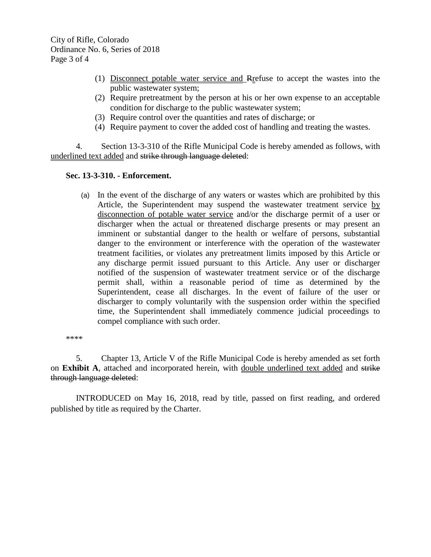- (1) Disconnect potable water service and Rrefuse to accept the wastes into the public wastewater system;
- (2) Require pretreatment by the person at his or her own expense to an acceptable condition for discharge to the public wastewater system;
- (3) Require control over the quantities and rates of discharge; or
- (4) Require payment to cover the added cost of handling and treating the wastes.

4. Section 13-3-310 of the Rifle Municipal Code is hereby amended as follows, with underlined text added and strike through language deleted:

# **Sec. 13-3-310. - Enforcement.**

(a) In the event of the discharge of any waters or wastes which are prohibited by this Article, the Superintendent may suspend the wastewater treatment service by disconnection of potable water service and/or the discharge permit of a user or discharger when the actual or threatened discharge presents or may present an imminent or substantial danger to the health or welfare of persons, substantial danger to the environment or interference with the operation of the wastewater treatment facilities, or violates any pretreatment limits imposed by this Article or any discharge permit issued pursuant to this Article. Any user or discharger notified of the suspension of wastewater treatment service or of the discharge permit shall, within a reasonable period of time as determined by the Superintendent, cease all discharges. In the event of failure of the user or discharger to comply voluntarily with the suspension order within the specified time, the Superintendent shall immediately commence judicial proceedings to compel compliance with such order.

\*\*\*\*

5. Chapter 13, Article V of the Rifle Municipal Code is hereby amended as set forth on **Exhibit A**, attached and incorporated herein, with double underlined text added and strike through language deleted:

INTRODUCED on May 16, 2018, read by title, passed on first reading, and ordered published by title as required by the Charter.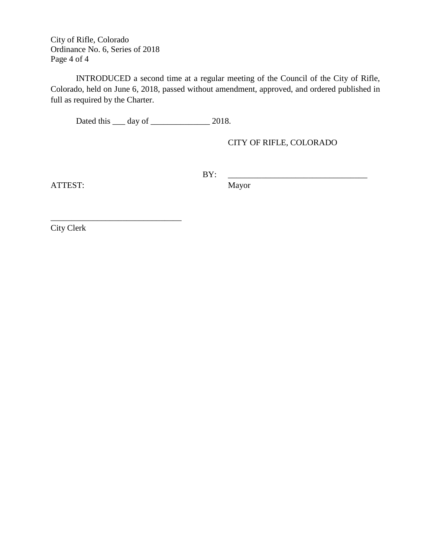City of Rifle, Colorado Ordinance No. 6, Series of 2018 Page 4 of 4

\_\_\_\_\_\_\_\_\_\_\_\_\_\_\_\_\_\_\_\_\_\_\_\_\_\_\_\_\_\_\_

INTRODUCED a second time at a regular meeting of the Council of the City of Rifle, Colorado, held on June 6, 2018, passed without amendment, approved, and ordered published in full as required by the Charter.

Dated this \_\_\_\_ day of \_\_\_\_\_\_\_\_\_\_\_\_\_\_\_\_ 2018.

CITY OF RIFLE, COLORADO

BY: \_\_\_\_\_\_\_\_\_\_\_\_\_\_\_\_\_\_\_\_\_\_\_\_\_\_\_\_\_\_\_\_\_

ATTEST: Mayor

City Clerk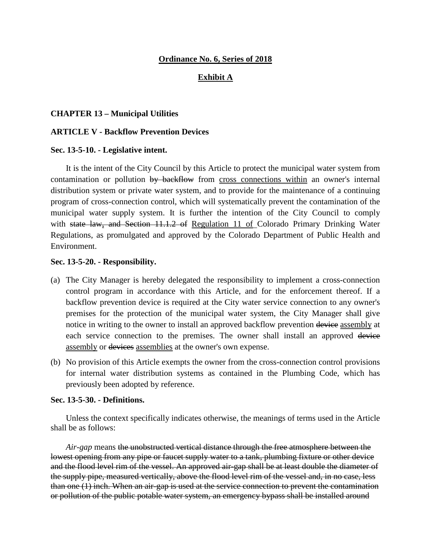### **Ordinance No. 6, Series of 2018**

### **Exhibit A**

### **CHAPTER 13 – Municipal Utilities**

#### **ARTICLE V - Backflow Prevention Devices**

#### **Sec. 13-5-10. - Legislative intent.**

It is the intent of the City Council by this Article to protect the municipal water system from contamination or pollution by backflow from cross connections within an owner's internal distribution system or private water system, and to provide for the maintenance of a continuing program of cross-connection control, which will systematically prevent the contamination of the municipal water supply system. It is further the intention of the City Council to comply with state law, and Section 11.1.2 of Regulation 11 of Colorado Primary Drinking Water Regulations, as promulgated and approved by the Colorado Department of Public Health and Environment.

#### **Sec. 13-5-20. - Responsibility.**

- (a) The City Manager is hereby delegated the responsibility to implement a cross-connection control program in accordance with this Article, and for the enforcement thereof. If a backflow prevention device is required at the City water service connection to any owner's premises for the protection of the municipal water system, the City Manager shall give notice in writing to the owner to install an approved backflow prevention device assembly at each service connection to the premises. The owner shall install an approved device assembly or devices assemblies at the owner's own expense.
- (b) No provision of this Article exempts the owner from the cross-connection control provisions for internal water distribution systems as contained in the Plumbing Code, which has previously been adopted by reference.

#### **Sec. 13-5-30. - Definitions.**

Unless the context specifically indicates otherwise, the meanings of terms used in the Article shall be as follows:

*Air-gap* means the unobstructed vertical distance through the free atmosphere between the lowest opening from any pipe or faucet supply water to a tank, plumbing fixture or other device and the flood level rim of the vessel. An approved air-gap shall be at least double the diameter of the supply pipe, measured vertically, above the flood level rim of the vessel and, in no case, less than one (1) inch. When an air-gap is used at the service connection to prevent the contamination or pollution of the public potable water system, an emergency bypass shall be installed around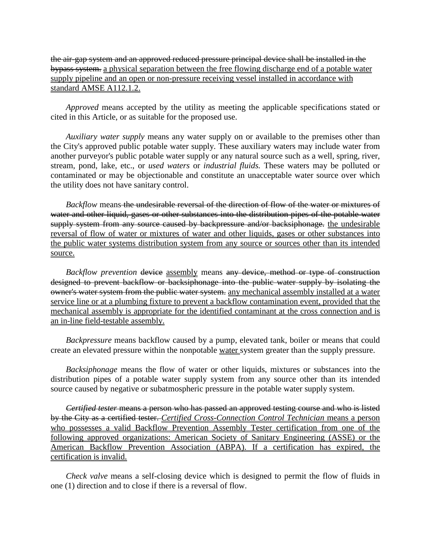the air-gap system and an approved reduced pressure principal device shall be installed in the bypass system. a physical separation between the free flowing discharge end of a potable water supply pipeline and an open or non-pressure receiving vessel installed in accordance with standard AMSE A112.1.2.

*Approved* means accepted by the utility as meeting the applicable specifications stated or cited in this Article, or as suitable for the proposed use.

*Auxiliary water supply* means any water supply on or available to the premises other than the City's approved public potable water supply. These auxiliary waters may include water from another purveyor's public potable water supply or any natural source such as a well, spring, river, stream, pond, lake, etc., or *used waters* or *industrial fluids.* These waters may be polluted or contaminated or may be objectionable and constitute an unacceptable water source over which the utility does not have sanitary control.

*Backflow* means-the undesirable reversal of the direction of flow of the water or mixtures of water and other liquid, gases or other substances into the distribution pipes of the potable water supply system from any source caused by backpressure and/or backsiphonage, the undesirable reversal of flow of water or mixtures of water and other liquids, gases or other substances into the public water systems distribution system from any source or sources other than its intended source.

*Backflow prevention* device assembly means any device, method or type of construction designed to prevent backflow or backsiphonage into the public water supply by isolating the owner's water system from the public water system. any mechanical assembly installed at a water service line or at a plumbing fixture to prevent a backflow contamination event, provided that the mechanical assembly is appropriate for the identified contaminant at the cross connection and is an in-line field-testable assembly.

*Backpressure* means backflow caused by a pump, elevated tank, boiler or means that could create an elevated pressure within the nonpotable water system greater than the supply pressure.

*Backsiphonage* means the flow of water or other liquids, mixtures or substances into the distribution pipes of a potable water supply system from any source other than its intended source caused by negative or subatmospheric pressure in the potable water supply system.

*Certified tester* means a person who has passed an approved testing course and who is listed by the City as a certified tester. *Certified Cross-Connection Control Technician* means a person who possesses a valid Backflow Prevention Assembly Tester certification from one of the following approved organizations: American Society of Sanitary Engineering (ASSE) or the American Backflow Prevention Association (ABPA). If a certification has expired, the certification is invalid.

*Check valve* means a self-closing device which is designed to permit the flow of fluids in one (1) direction and to close if there is a reversal of flow.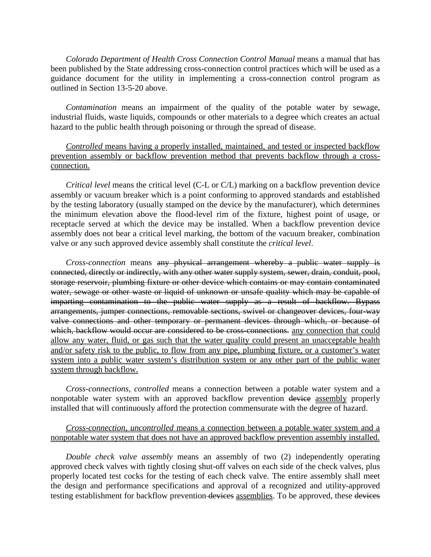*Colorado Department of Health Cross Connection Control Manual* means a manual that has been published by the State addressing cross-connection control practices which will be used as a guidance document for the utility in implementing a cross-connection control program as outlined in Section 13-5-20 above.

*Contamination* means an impairment of the quality of the potable water by sewage, industrial fluids, waste liquids, compounds or other materials to a degree which creates an actual hazard to the public health through poisoning or through the spread of disease.

# *Controlled* means having a properly installed, maintained, and tested or inspected backflow prevention assembly or backflow prevention method that prevents backflow through a crossconnection.

*Critical level* means the critical level (C-L or C/L) marking on a backflow prevention device assembly or vacuum breaker which is a point conforming to approved standards and established by the testing laboratory (usually stamped on the device by the manufacturer), which determines the minimum elevation above the flood-level rim of the fixture, highest point of usage, or receptacle served at which the device may be installed. When a backflow prevention device assembly does not bear a critical level marking, the bottom of the vacuum breaker, combination valve or any such approved device assembly shall constitute the *critical level*.

*Cross-connection* means any physical arrangement whereby a public water supply is connected, directly or indirectly, with any other water supply system, sewer, drain, conduit, pool, storage reservoir, plumbing fixture or other device which contains or may contain contaminated water, sewage or other waste or liquid of unknown or unsafe quality which may be capable of imparting contamination to the public water supply as a result of backflow. Bypass arrangements, jumper connections, removable sections, swivel or changeover devices, four-way valve connections and other temporary or permanent devices through which, or because of which, backflow would occur are considered to be cross-connections. any connection that could allow any water, fluid, or gas such that the water quality could present an unacceptable health and/or safety risk to the public, to flow from any pipe, plumbing fixture, or a customer's water system into a public water system's distribution system or any other part of the public water system through backflow.

*Cross-connections, controlled* means a connection between a potable water system and a nonpotable water system with an approved backflow prevention device assembly properly installed that will continuously afford the protection commensurate with the degree of hazard.

# *Cross-connection, uncontrolled* means a connection between a potable water system and a nonpotable water system that does not have an approved backflow prevention assembly installed.

*Double check valve assembly* means an assembly of two (2) independently operating approved check valves with tightly closing shut-off valves on each side of the check valves, plus properly located test cocks for the testing of each check valve. The entire assembly shall meet the design and performance specifications and approval of a recognized and utility-approved testing establishment for backflow prevention devices assemblies. To be approved, these devices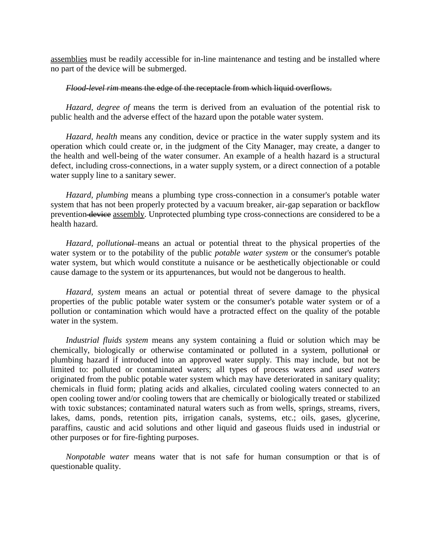assemblies must be readily accessible for in-line maintenance and testing and be installed where no part of the device will be submerged.

#### *Flood-level rim* means the edge of the receptacle from which liquid overflows.

*Hazard, degree of* means the term is derived from an evaluation of the potential risk to public health and the adverse effect of the hazard upon the potable water system.

*Hazard, health* means any condition, device or practice in the water supply system and its operation which could create or, in the judgment of the City Manager, may create, a danger to the health and well-being of the water consumer. An example of a health hazard is a structural defect, including cross-connections, in a water supply system, or a direct connection of a potable water supply line to a sanitary sewer.

*Hazard, plumbing* means a plumbing type cross-connection in a consumer's potable water system that has not been properly protected by a vacuum breaker, air-gap separation or backflow prevention device assembly. Unprotected plumbing type cross-connections are considered to be a health hazard.

*Hazard, pollutional* means an actual or potential threat to the physical properties of the water system or to the potability of the public *potable water system* or the consumer's potable water system, but which would constitute a nuisance or be aesthetically objectionable or could cause damage to the system or its appurtenances, but would not be dangerous to health.

*Hazard, system* means an actual or potential threat of severe damage to the physical properties of the public potable water system or the consumer's potable water system or of a pollution or contamination which would have a protracted effect on the quality of the potable water in the system.

*Industrial fluids system* means any system containing a fluid or solution which may be chemically, biologically or otherwise contaminated or polluted in a system, pollutional or plumbing hazard if introduced into an approved water supply. This may include, but not be limited to: polluted or contaminated waters; all types of process waters and *used waters* originated from the public potable water system which may have deteriorated in sanitary quality; chemicals in fluid form; plating acids and alkalies, circulated cooling waters connected to an open cooling tower and/or cooling towers that are chemically or biologically treated or stabilized with toxic substances; contaminated natural waters such as from wells, springs, streams, rivers, lakes, dams, ponds, retention pits, irrigation canals, systems, etc.; oils, gases, glycerine, paraffins, caustic and acid solutions and other liquid and gaseous fluids used in industrial or other purposes or for fire-fighting purposes.

*Nonpotable water* means water that is not safe for human consumption or that is of questionable quality.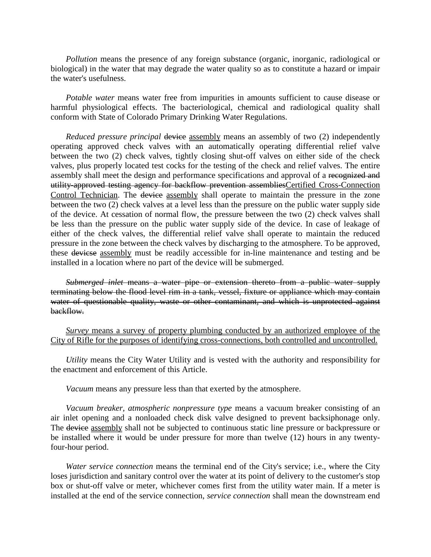*Pollution* means the presence of any foreign substance (organic, inorganic, radiological or biological) in the water that may degrade the water quality so as to constitute a hazard or impair the water's usefulness.

*Potable water* means water free from impurities in amounts sufficient to cause disease or harmful physiological effects. The bacteriological, chemical and radiological quality shall conform with State of Colorado Primary Drinking Water Regulations.

*Reduced pressure principal* device assembly means an assembly of two (2) independently operating approved check valves with an automatically operating differential relief valve between the two (2) check valves, tightly closing shut-off valves on either side of the check valves, plus properly located test cocks for the testing of the check and relief valves. The entire assembly shall meet the design and performance specifications and approval of a recognized and utility-approved testing agency for backflow prevention assembliesCertified Cross-Connection Control Technician. The device assembly shall operate to maintain the pressure in the zone between the two (2) check valves at a level less than the pressure on the public water supply side of the device. At cessation of normal flow, the pressure between the two (2) check valves shall be less than the pressure on the public water supply side of the device. In case of leakage of either of the check valves, the differential relief valve shall operate to maintain the reduced pressure in the zone between the check valves by discharging to the atmosphere. To be approved, these devicse assembly must be readily accessible for in-line maintenance and testing and be installed in a location where no part of the device will be submerged.

*Submerged inlet* means a water pipe or extension thereto from a public water supply terminating below the flood level rim in a tank, vessel, fixture or appliance which may contain water of questionable quality, waste or other contaminant, and which is unprotected against backflow.

*Survey* means a survey of property plumbing conducted by an authorized employee of the City of Rifle for the purposes of identifying cross-connections, both controlled and uncontrolled.

*Utility* means the City Water Utility and is vested with the authority and responsibility for the enactment and enforcement of this Article.

*Vacuum* means any pressure less than that exerted by the atmosphere.

*Vacuum breaker, atmospheric nonpressure type* means a vacuum breaker consisting of an air inlet opening and a nonloaded check disk valve designed to prevent backsiphonage only. The device assembly shall not be subjected to continuous static line pressure or backpressure or be installed where it would be under pressure for more than twelve (12) hours in any twentyfour-hour period.

*Water service connection* means the terminal end of the City's service; i.e., where the City loses jurisdiction and sanitary control over the water at its point of delivery to the customer's stop box or shut-off valve or meter, whichever comes first from the utility water main. If a meter is installed at the end of the service connection, *service connection* shall mean the downstream end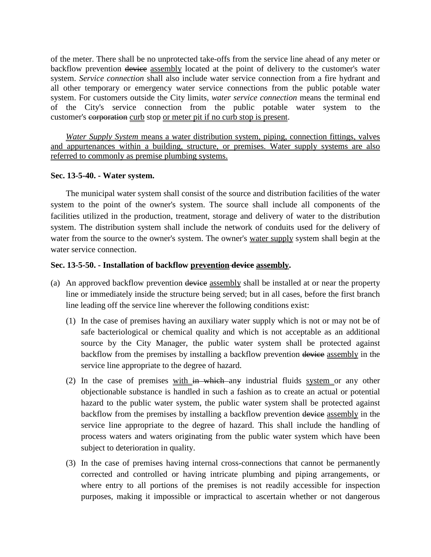of the meter. There shall be no unprotected take-offs from the service line ahead of any meter or backflow prevention device assembly located at the point of delivery to the customer's water system. *Service connection* shall also include water service connection from a fire hydrant and all other temporary or emergency water service connections from the public potable water system. For customers outside the City limits, *water service connection* means the terminal end of the City's service connection from the public potable water system to the customer's corporation curb stop or meter pit if no curb stop is present.

*Water Supply System* means a water distribution system, piping, connection fittings, valves and appurtenances within a building, structure, or premises. Water supply systems are also referred to commonly as premise plumbing systems.

# **Sec. 13-5-40. - Water system.**

The municipal water system shall consist of the source and distribution facilities of the water system to the point of the owner's system. The source shall include all components of the facilities utilized in the production, treatment, storage and delivery of water to the distribution system. The distribution system shall include the network of conduits used for the delivery of water from the source to the owner's system. The owner's water supply system shall begin at the water service connection.

# **Sec. 13-5-50. - Installation of backflow prevention device assembly.**

- (a) An approved backflow prevention device assembly shall be installed at or near the property line or immediately inside the structure being served; but in all cases, before the first branch line leading off the service line wherever the following conditions exist:
	- (1) In the case of premises having an auxiliary water supply which is not or may not be of safe bacteriological or chemical quality and which is not acceptable as an additional source by the City Manager, the public water system shall be protected against backflow from the premises by installing a backflow prevention device assembly in the service line appropriate to the degree of hazard.
	- (2) In the case of premises with in which any industrial fluids system or any other objectionable substance is handled in such a fashion as to create an actual or potential hazard to the public water system, the public water system shall be protected against backflow from the premises by installing a backflow prevention device assembly in the service line appropriate to the degree of hazard. This shall include the handling of process waters and waters originating from the public water system which have been subject to deterioration in quality.
	- (3) In the case of premises having internal cross-connections that cannot be permanently corrected and controlled or having intricate plumbing and piping arrangements, or where entry to all portions of the premises is not readily accessible for inspection purposes, making it impossible or impractical to ascertain whether or not dangerous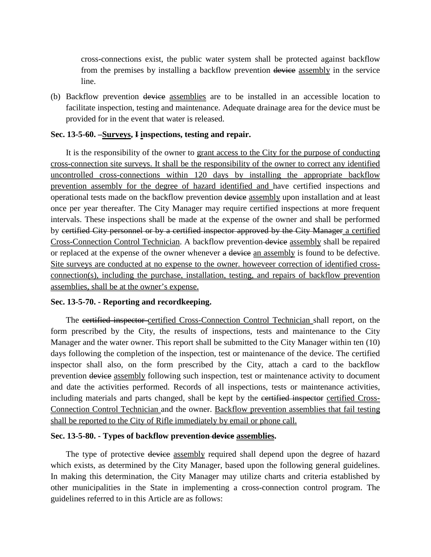cross-connections exist, the public water system shall be protected against backflow from the premises by installing a backflow prevention device assembly in the service line.

(b) Backflow prevention device assemblies are to be installed in an accessible location to facilitate inspection, testing and maintenance. Adequate drainage area for the device must be provided for in the event that water is released.

### **Sec. 13-5-60. –Surveys, I inspections, testing and repair.**

It is the responsibility of the owner to grant access to the City for the purpose of conducting cross-connection site surveys. It shall be the responsibility of the owner to correct any identified uncontrolled cross-connections within 120 days by installing the appropriate backflow prevention assembly for the degree of hazard identified and have certified inspections and operational tests made on the backflow prevention device assembly upon installation and at least once per year thereafter. The City Manager may require certified inspections at more frequent intervals. These inspections shall be made at the expense of the owner and shall be performed by certified City personnel or by a certified inspector approved by the City Manager a certified Cross-Connection Control Technician. A backflow prevention device assembly shall be repaired or replaced at the expense of the owner whenever a device an assembly is found to be defective. Site surveys are conducted at no expense to the owner. howeveer correction of identified crossconnection(s), including the purchase, installation, testing, and repairs of backflow prevention assemblies, shall be at the owner's expense.

### **Sec. 13-5-70. - Reporting and recordkeeping.**

The certified inspector certified Cross-Connection Control Technician shall report, on the form prescribed by the City, the results of inspections, tests and maintenance to the City Manager and the water owner. This report shall be submitted to the City Manager within ten (10) days following the completion of the inspection, test or maintenance of the device. The certified inspector shall also, on the form prescribed by the City, attach a card to the backflow prevention device assembly following such inspection, test or maintenance activity to document and date the activities performed. Records of all inspections, tests or maintenance activities, including materials and parts changed, shall be kept by the certified inspector certified Cross-Connection Control Technician and the owner. Backflow prevention assemblies that fail testing shall be reported to the City of Rifle immediately by email or phone call.

### **Sec. 13-5-80. - Types of backflow prevention device assemblies.**

The type of protective device assembly required shall depend upon the degree of hazard which exists, as determined by the City Manager, based upon the following general guidelines. In making this determination, the City Manager may utilize charts and criteria established by other municipalities in the State in implementing a cross-connection control program. The guidelines referred to in this Article are as follows: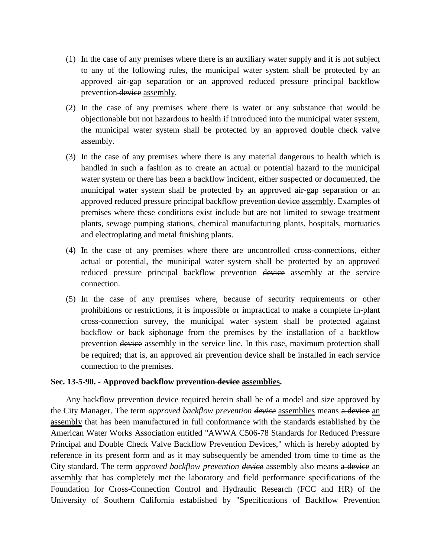- (1) In the case of any premises where there is an auxiliary water supply and it is not subject to any of the following rules, the municipal water system shall be protected by an approved air-gap separation or an approved reduced pressure principal backflow prevention device assembly.
- (2) In the case of any premises where there is water or any substance that would be objectionable but not hazardous to health if introduced into the municipal water system, the municipal water system shall be protected by an approved double check valve assembly.
- (3) In the case of any premises where there is any material dangerous to health which is handled in such a fashion as to create an actual or potential hazard to the municipal water system or there has been a backflow incident, either suspected or documented, the municipal water system shall be protected by an approved air-gap separation or an approved reduced pressure principal backflow prevention device assembly. Examples of premises where these conditions exist include but are not limited to sewage treatment plants, sewage pumping stations, chemical manufacturing plants, hospitals, mortuaries and electroplating and metal finishing plants.
- (4) In the case of any premises where there are uncontrolled cross-connections, either actual or potential, the municipal water system shall be protected by an approved reduced pressure principal backflow prevention device assembly at the service connection.
- (5) In the case of any premises where, because of security requirements or other prohibitions or restrictions, it is impossible or impractical to make a complete in-plant cross-connection survey, the municipal water system shall be protected against backflow or back siphonage from the premises by the installation of a backflow prevention device assembly in the service line. In this case, maximum protection shall be required; that is, an approved air prevention device shall be installed in each service connection to the premises.

### **Sec. 13-5-90. - Approved backflow prevention device assemblies.**

Any backflow prevention device required herein shall be of a model and size approved by the City Manager. The term *approved backflow prevention device* assemblies means a device an assembly that has been manufactured in full conformance with the standards established by the American Water Works Association entitled "AWWA C506-78 Standards for Reduced Pressure Principal and Double Check Valve Backflow Prevention Devices," which is hereby adopted by reference in its present form and as it may subsequently be amended from time to time as the City standard. The term *approved backflow prevention device* assembly also means a device an assembly that has completely met the laboratory and field performance specifications of the Foundation for Cross-Connection Control and Hydraulic Research (FCC and HR) of the University of Southern California established by "Specifications of Backflow Prevention